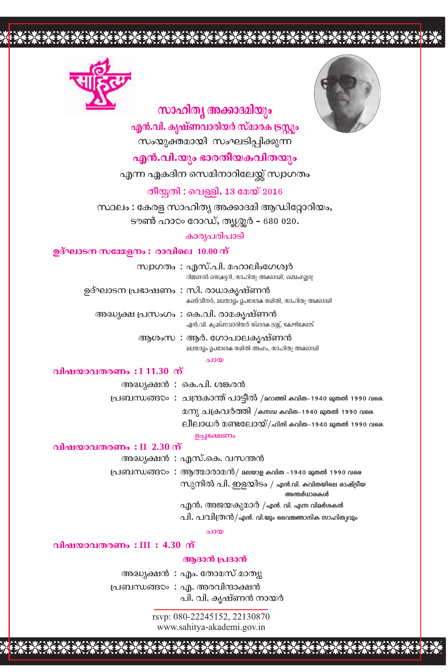



# സാഹിത്യ അക്കാദമിയും

എൻ.വി. കൃഷ്ണവാരിയർ സ്മാരക ട്രസ്റ്റം സംയുക്തമായി സംഘടിപ്പിക്കുന്ന

എൻ.വി.യും ഭാരതീയകവിതയും

എന്ന ഏകദിന സെമിനാറിലേയ്ക്ക് സ്വാഗതം

തീയ്യതി : വെള്ളി, 13 മേയ് 2016

സ്ഥലം : കേരള സാഹിത്യ അക്കാദമി ആഡിറ്റോറിയം, ടൗൺ ഹാ $\infty$  റോഡ്, തൃശ്ശൂർ – 680 020.

കാര്യപരിപാടി

#### ഉദ്ഘാടന സമ്മേളനം : രാവിലെ 10.00 ന്

സ്വാഗതം : എസ്.പി. മഹാലിംഗേശ്വർ റിജണൽ സെക്രട്ടറി, സാഹിത്യ അക്കാദമി, ബെംഗളൂരു

ഉദ്ഘാടന പ്രഭാഷണം : സി. രാധാകൃഷ്ണൻ കൺവീനർ, മലയാളം ഉപദേശക സമിതി, സാഹിത്യ അക്കാദമി

അദ്ധ്യക്ഷ പ്രസംഗം : കെ.വി. രാമകൃഷ്ണൻ എൻ.വി. കൃഷ്ണവാരിയർ സ്മാരക ട്രസ്സ്, കോഴിക്കോട്

> ആശംസ : ആർ. ഗോപാലകൃഷ്ണൻ മലയാട്ടം ഉപദേശക സമിതി അംഗം, സാഹിത്യ അക്കാദമി

#### $0.1000$

#### വിഷയാവതരണം  $:111.30$  ന്

അദ്ധ്യക്ഷൻ : കെ.പി. ശങ്കരൻ പ്രബന്ധങ്ങ⊙ : ചന്ദ്രകാന്ത് പാട്ടീൽ /മറാത്തി കവിത-1940 മുതൽ 1990 വരെ. മനു ചക്രവർത്തി /കന്നഡ കവിത-1940 മുതൽ 1990 വരെ. ലീലാധർ മണ്ടലോയ്/ഹിന്ദി കവിത-1940 മുതൽ 1990 വരെ. ഉച്ചഭക്ഷണം

വിഷയാവതരണം:  $II$  2.30 ന്

അദ്ധ്യക്ഷൻ : എസ്.കെ. വസന്തൻ

പ്രബന്ധങ്ങ∞: ആത്മാരാമൻ/ മലയാള കവിത -1940 മുതൽ 1990 വരെ സുനിൽ പി. ഇളയിടം / എൻ.വി. കവിതയിലെ രാഷ്ട്രീയ

അന്തർധാരകൾ

എൻ. അജയകുമാർ /എൻ. വി. എന്ന വിമർശകൻ

പി. പവിത്രൻ/എൻ. വി.യും വൈജ്ഞാനിക സാഹിത്യവും

 $0.1000$ 

## വിഷയാവതരണം:  $III : 4.30$  ന്

## ആദാൻ പ്രദാൻ

അദ്ധ്യക്ഷൻ : എം. തോമസ് മാത്യു പ്രബന്ധങ്ങ∞ : എ. അരവിന്ദാക്ഷൻ പി. വി. കൃഷ്ണൻ നായർ

> rsvp: 080-22245152, 22130870 www.sahitya-akademi.gov.in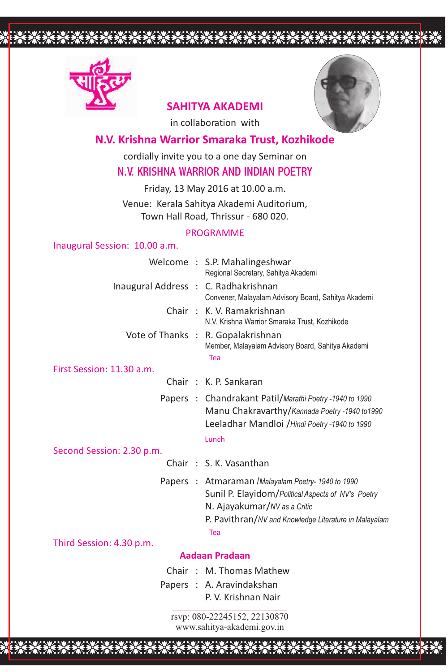

# **SAHITYA AKADEMI**

in collaboration with

# **N.V. Krishna Warrior Smaraka Trust, Kozhikode**

cordially invite you to a one day Seminar on

# N.V. KRISHNA WARRIOR AND INDIAN POETRY

Friday, 13 May 2016 at 10.00 a.m.

Venue: Kerala Sahitya Akademi Auditorium, Town Hall Road, Thrissur - 680 020.

# PROGRAMME

# Inaugural Session: 10.00 a.m.

|                                      | Welcome : S.P. Mahalingeshwar<br>Regional Secretary, Sahitya Akademi                                      |
|--------------------------------------|-----------------------------------------------------------------------------------------------------------|
| Inaugural Address : C. Radhakrishnan | Convener, Malayalam Advisory Board, Sahitya Akademi                                                       |
|                                      | Chair: K. V. Ramakrishnan<br>N.V. Krishna Warrior Smaraka Trust, Kozhikode                                |
|                                      | Vote of Thanks : R. Gopalakrishnan<br>Member, Malayalam Advisory Board, Sahitya Akademi<br>Tea            |
| First Session: 11.30 a.m.            |                                                                                                           |
|                                      | Chair: K. P. Sankaran                                                                                     |
|                                      | Papers : Chandrakant Patil/Marathi Poetry -1940 to 1990<br>Manu Chakravarthy/Kannada Poetry -1940 to 1990 |

Lunch Leeladhar Mandloi /*Hindi Poetry -1940 to 1990*

#### Second Session: 2.30 p.m.

- Chair : S. K. Vasanthan
- Tea Papers : Atmaraman /*Malayalam Poetry- 1940 to 1990* Sunil P. Elayidom/*Political Aspects of NV's Poetry* N. Ajayakumar/*NV as a Critic* P. Pavithran/*NV and Knowledge Literature in Malayalam*

## Third Session: 4.30 p.m.

## **Aadaan Pradaan**

- Chair : M. Thomas Mathew
- Papers : A. Aravindakshan P. V. Krishnan Nair

rsvp: 080-22245152, 22130870 www.sahitya-akademi.gov.in